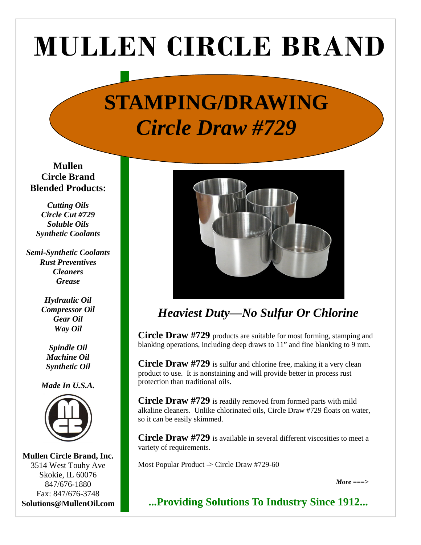# MULLEN CIRCLE BRAND

## **STAMPING/DRAWING**  *Circle Draw #729*

**Mullen Circle Brand Blended Products:** 

*Cutting Oils Circle Cut #729 Soluble Oils Synthetic Coolants* 

*Semi-Synthetic Coolants Rust Preventives Cleaners Grease* 

> *Hydraulic Oil Compressor Oil Gear Oil Way Oil*

*Spindle Oil Machine Oil Synthetic Oil* 

*Made In U.S.A.* 



**Mullen Circle Brand, Inc.**  3514 West Touhy Ave Skokie, IL 60076 847/676-1880 Fax: 847/676-3748 **Solutions@MullenOil.com** 



### *Heaviest Duty—No Sulfur Or Chlorine*

**Circle Draw #729** products are suitable for most forming, stamping and blanking operations, including deep draws to 11" and fine blanking to 9 mm.

**Circle Draw #729** is sulfur and chlorine free, making it a very clean product to use. It is nonstaining and will provide better in process rust protection than traditional oils.

**Circle Draw #729** is readily removed from formed parts with mild alkaline cleaners. Unlike chlorinated oils, Circle Draw #729 floats on water, so it can be easily skimmed.

**Circle Draw #729** is available in several different viscosities to meet a variety of requirements.

Most Popular Product -> Circle Draw #729-60

*More ===>*

**...Providing Solutions To Industry Since 1912...**